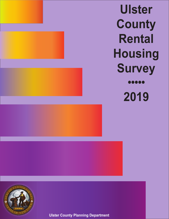**Ulster County Rental Housing Survey** 00000 **2019**



**Ulster County Planning Department**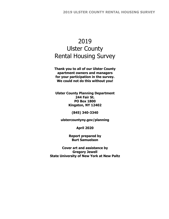# 2019 Ulster County Rental Housing Survey

**Thank you to all of our Ulster County apartment owners and managers for your participation in the survey. We could not do this without you!** 

**Ulster County Planning Department 244 Fair St. PO Box 1800 Kingston, NY 12402** 

**(845) 340-3340** 

**ulstercountyny.gov/planning** 

**April 2020** 

**Report prepared by Burt Samuelson** 

**Cover art and assistance by Gregory Jewell State University of New York at New Paltz**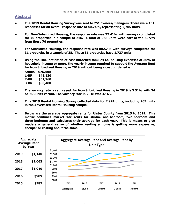### **Abstract**

- **The 2019 Rental Housing Survey was sent to 251 owners/managers. There were 101 responses for an overall response rate of 40.24%, representing 2,705 units.**
- **For Non-Subsidized Housing, the response rate was 32.41% with surveys completed for 70 properties in a sample of 216. A total of 968 units were part of the Survey from these 70 properties.**
- **For Subsidized Housing, the response rate was 88.57% with surveys completed for 31 properties in a sample of 35. These 31 properties have 1,737 units.**
- **Using the HUD definition of cost-burdened families i.e. housing expenses of 30% of household income or more, the yearly income required to support the Average Rent for Non-Subsidized Housing in 2019 without being a cost burdened is:**

| Studio | \$26,480 |
|--------|----------|
| 1-BR   | \$41,120 |
| 2-BR   | \$51,760 |
| 3-BR   | \$53,480 |

- **The vacancy rate, as surveyed, for Non-Subsidized Housing in 2019 is 3.51% with 34 of 968 units vacant. The vacancy rate in 2018 was 3.16%.**
- **This 2019 Rental Housing Survey collected data for 2,974 units, including 269 units in the Advertised Rental Housing sample.**
- **Below are the average aggregate rents for Ulster County from 2015 to 2019. This metric combines market-rate rents for studio, one-bedroom, two-bedroom and three-bedroom and calculates their average for each year. This is meant to give readers a general sense of whether renting a home is getting more expensive, cheaper or costing about the same.**

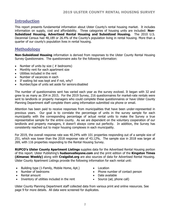### **Introduction**

This report presents fundamental information about Ulster County's rental housing market. It includes information on supply, cost and affordability. Three categories of housing units are included: **Non-Subsidized Housing, Advertised Rental Housing and Subsidized Housing.** The 2010 U.S. Decennial Census had 48,189 or 26.4% of the County's population living in rental housing. More than a quarter of our county's population lives in rental housing.

### **Methodology**

**Non-Subsidized Housing** information is derived from responses to the Ulster County Rental Housing Survey Questionnaire. The questionnaire asks for the following information:

- Number of units by size  $( #$  bedrooms)
- Monthly rent for each apartment size
- Utilities included in the rent
- Number of vacancies in each
- If waiting list was kept and if not, why?
- Number/type of units set aside for seniors/disabled

The number of questionnaires sent has varied each year as the survey evolved. It began with 32 and grew to as many as 354 in 2015. For the 2019 Survey, 216 questionnaires for market-rate rentals were sent to landlords or property managers who could complete these questionnaires or have Ulster County Planning Department staff complete them using information submitted via phone or email.

Attention has been paid to receive responses from municipalities that have been under-represented in previous years. Our goal is to correlate the percentage of units in the survey sample for each municipality with the corresponding percentage of actual rental units to make the Survey a true representative sample for the entire county. As we are dependent on the voluntary cooperation of our landlords and property managers, it doesn't always come out perfectly. In addition, the Survey has consistently reached out to major housing complexes in each municipality.

For 2019, the overall response rate was 40.24% with 101 properties responding out of a sample size of 251, which was lower than the 2018 response rate of 43.12%. The sample size in 2018 was larger at 269, with 116 properties responding to the Rental Housing Survey.

**RUPCO's Ulster County Apartment Listings** supplies data for the Advertised Rental Housing portion of this report. Ulster Publishing's **hudsonvalleyone.com** and the print edition of the **Kingston Times (Almanac Weekly)** along with **Craigslist.org** are also sources of data for Advertised Rental Housing. Ulster County Apartment Listings provide the following information for each rental unit:

- Building type (1-Family, Mobile Home, Apt.)
- Number of bedrooms
- Rental amount
- Inventory of utilities included in the rent
- Location
- Phone number of contact person
- Date available
- Source (ad, phone call)

Ulster County Planning Department staff collected data from various print and online resources. See page 9 for more details. All data were screened for duplicates.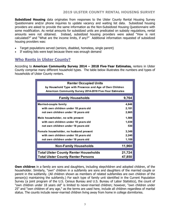**Subsidized Housing** data originates from responses to the Ulster County Rental Housing Survey Questionnaire and/or phone inquiries to update vacancy and waiting list data. Subsidized housing providers are asked to provide the same information as the Non-Subsidized Housing Questionnaire with some modification. As rental amounts for subsidized units are predicated on subsidy regulations, rental amounts were not obtained. Instead, subsidized housing providers were asked "How is rent calculated?" and "What are the income limits, if any?" Additional information requested of subsidized housing providers was:

- Target populations served (seniors, disabled, homeless, single parent)
- If waiting lists were kept because there was enough demand

### **Who Rents in Ulster County?**

According to **American Community Survey 2014 – 2018 Five-Year Estimates,** renters in Ulster County comprise many different household types. The table below illustrates the numbers and types of households of Ulster County renters.

| <b>Renter Occupied Units</b>                            |        |
|---------------------------------------------------------|--------|
| by Household Type with Presence and Age of Own Children |        |
| American Community Survey 2014-2018 Five-Year Estimates |        |
|                                                         |        |
| <b>Family Households</b>                                | 9,764  |
|                                                         |        |
| Married-couple family                                   | 4,846  |
| with own children under 18 years old                    | 2,181  |
| not own children under 18 years old                     | 2,665  |
|                                                         |        |
| Male householder, no wife present                       | 1,569  |
| with own children under 18 years old                    | 1,039  |
| not own children under 18 years old                     | 530    |
| Female householder, no husband present                  | 3,349  |
| with own children under 18 years old                    | 2,240  |
| not own children under 18 years old                     | 1,109  |
|                                                         |        |
| <b>Non-Family Households</b>                            | 11,960 |
|                                                         |        |
| <b>Total Ulster County Renter Households</b>            | 21,724 |
| <b>Total Ulster County Renter Persons</b>               | 47,850 |
|                                                         |        |

**Own children** in a family are sons and daughters, including stepchildren and adopted children, of the householder. Similarly, "own" children in a subfamily are sons and daughters of the married couple or parent in the subfamily. (All children shown as members of related subfamilies are own children of the person(s) maintaining the subfamily.) For each type of family unit identified in the Current Population Survey (a joint program of the U.S. Census Bureau and U.S. Bureau of Labor Statistics), the count of "own children under 18 years old" is limited to never-married children; however, "own children under 25" and "own children of any age," as the terms are used here, include all children regardless of marital status. The counts include never-married children living away from home in college dormitories.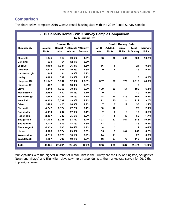## **Comparison**

The chart below compares 2010 Census rental housing data with the 2019 Rental Survey sample.

|                     | 2010 Census Rental - 2019 Survey Sample Comparison<br>by Municipality |                        |                                |                |  |                           |                         |                       |              |              |  |  |  |  |  |
|---------------------|-----------------------------------------------------------------------|------------------------|--------------------------------|----------------|--|---------------------------|-------------------------|-----------------------|--------------|--------------|--|--|--|--|--|
|                     |                                                                       |                        |                                |                |  |                           |                         |                       |              |              |  |  |  |  |  |
|                     |                                                                       | <b>Census Data</b>     |                                |                |  | <b>Rental Survey Data</b> |                         |                       |              |              |  |  |  |  |  |
| <b>Municipality</b> | <b>Housing</b><br><b>Units</b>                                        | Rental<br><b>Units</b> | % Rentals % County<br>in Muni. | <b>Rentals</b> |  | Non-S.<br><b>Units</b>    | Advtsd.<br><b>Units</b> | Subs.<br><b>Units</b> | <b>Total</b> | %Survey      |  |  |  |  |  |
|                     |                                                                       |                        |                                |                |  |                           |                         |                       | in Survey    | <b>Units</b> |  |  |  |  |  |
| <b>Ellenville</b>   | 1,845                                                                 | 914                    | 49.5%                          | 4.0%           |  | 68                        | 30                      | 206                   | 304          | 10.2%        |  |  |  |  |  |
| <b>Denning</b>      | 531                                                                   | 64                     | 12.1%                          | 0.3%           |  |                           |                         |                       |              |              |  |  |  |  |  |
| <b>Esopus</b>       | 3,969                                                                 | 1,031                  | 26.0%                          | 4.5%           |  | 16                        | 8                       |                       | 24           | 0.8%         |  |  |  |  |  |
| Gardiner            | 2.610                                                                 | 534                    | 20.5%                          | 2.3%           |  | 9                         | 6                       |                       | 15           | 0.5%         |  |  |  |  |  |
| Hardenburgh         | 344                                                                   | 31                     | 9.0%                           | 0.1%           |  |                           |                         |                       |              |              |  |  |  |  |  |
| <b>Hurley</b>       | 3,069                                                                 | 399                    | 13.0%                          | 1.7%           |  |                           |                         |                       | 0            | 0.0%         |  |  |  |  |  |
| Kingston (C)        | 11,147                                                                | 5.897                  | 52.9%                          | 25.8%          |  | 367                       | 67                      | 876                   | 1,310        | 44.0%        |  |  |  |  |  |
| Kingston (T)        | 432                                                                   | 60                     | 13.9%                          | 0.3%           |  |                           |                         |                       | 0            |              |  |  |  |  |  |
| Lloyd               | 4,419                                                                 | 1,362                  | 30.8%                          | 6.0%           |  | 109                       | 22                      | 51                    | 182          | 6.1%         |  |  |  |  |  |
| <b>Marbletown</b>   | 2,989                                                                 | 482                    | 16.1%                          | 2.1%           |  | 9                         | 1                       |                       | 10           | 0.3%         |  |  |  |  |  |
| Marlborough         | 3,644                                                                 | 1,084                  | 29.7%                          | 4.7%           |  | 28                        | 10                      | 113                   | 151          | 5.1%         |  |  |  |  |  |
| <b>New Paltz</b>    | 6,828                                                                 | 3,399                  | 49.8%                          | 14.9%          |  | 72                        | 15                      | 24                    | 111          | 3.7%         |  |  |  |  |  |
| Olive               | 2.498                                                                 | 423                    | 16.9%                          | 1.9%           |  | $\overline{7}$            | $\overline{7}$          | 19                    | 33           | 1.1%         |  |  |  |  |  |
| <b>Plattekill</b>   | 4,242                                                                 | 1,174                  | 27.7%                          | 5.1%           |  | 60                        | 10                      |                       | 70           | 2.4%         |  |  |  |  |  |
| <b>Rochester</b>    | 4,019                                                                 | 707                    | 17.6%                          | 3.1%           |  | $\overline{7}$            | 3                       | 9                     | 19           | 0.6%         |  |  |  |  |  |
| <b>Rosendale</b>    | 2,897                                                                 | 742                    | 25.6%                          | 3.2%           |  | $\overline{7}$            | 5                       | 40                    | 52           | 1.7%         |  |  |  |  |  |
| <b>Saugerties</b>   | 11,108                                                                | 3,748                  | 33.7%                          | 16.4%          |  | 123                       | 32                      | 161                   | 316          | 10.6%        |  |  |  |  |  |
| <b>Shandaken</b>    | 2,776                                                                 | 519                    | 18.7%                          | 2.3%           |  | 13                        | 3                       |                       | 16           | 0.5%         |  |  |  |  |  |
| Shawangunk          | 4,333                                                                 | 883                    | 20.4%                          | 3.9%           |  | 8                         | 3                       |                       | 11           | 0.4%         |  |  |  |  |  |
| <b>Ulster</b>       | 5,368                                                                 | 1,574                  | 29.3%                          | 6.9%           |  | 35                        | 9                       | 162                   | 206          | 6.9%         |  |  |  |  |  |
| Wawarsing           | 6,211                                                                 | 1,871                  | 30.1%                          | 8.2%           |  | 14                        | 11                      |                       | 25           | 0.8%         |  |  |  |  |  |
| <b>Woodstock</b>    | 4,157                                                                 | 793                    | 19.1%                          | 3.5%           |  | 16                        | 27                      | 76                    | 119          | 4.0%         |  |  |  |  |  |
| <b>Total</b>        | 89,436                                                                | 27,691                 | 29.4%                          | 100%           |  | 968                       | 269                     | 1737                  | 2,974        | 100%         |  |  |  |  |  |

Municipalities with the highest number of rental units in the Survey are the City of Kingston, Saugerties (town and village) and Ellenville. Lloyd saw more respondents to the market-rate survey for 2019 than in previous years.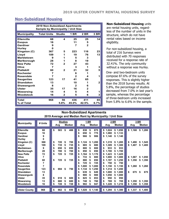### **Non-Subsidized Housing**

|                     | <b>2019 Non-Subsidized Apartments</b>     |               |              |              |              |
|---------------------|-------------------------------------------|---------------|--------------|--------------|--------------|
|                     | <b>Sample by Municipality / Unit Size</b> |               |              |              |              |
| <b>Municipality</b> | <b>Total Units</b>                        | <b>Studio</b> | 1 BR         | 2 BR         | 3 BR         |
|                     |                                           |               |              |              |              |
| <b>Ellenville</b>   | 68                                        | 4             | 25           | 25           | 14           |
| <b>Esopus</b>       | 16                                        |               | 11           | 5            |              |
| Gardiner            | 9                                         |               | 7            | $\mathbf{2}$ |              |
| <b>Hurley</b>       | O                                         |               |              |              |              |
| Kingston (C)        | 367                                       | 5             | 223          | 116          | 23           |
| Lloyd               | 109                                       | 1             | 19           | 76           | 13           |
| <b>Marbletown</b>   | 9                                         | 1             | 5            | 3            |              |
| Marlborough         | 28                                        | 1             | 8            | 19           |              |
| <b>New Paltz</b>    | 72                                        | 2             | 27           | 43           |              |
| Olive               | $\overline{7}$                            |               | 3            | 1            | 3            |
| <b>Plattekill</b>   | 60                                        | $\mathbf{2}$  | 21           | 32           | 5            |
| <b>Rochester</b>    | 7                                         |               | 6            | 1            |              |
| <b>Rosendale</b>    | 7                                         |               | $\mathbf{2}$ | 4            | 1            |
| <b>Saugerties</b>   | 123                                       | 17            | 41           | 65           |              |
| <b>Shandaken</b>    | 13                                        |               | 10           | 1            | $\mathbf{2}$ |
| <b>Shawangunk</b>   | 8                                         |               | $\mathbf{2}$ | 6            |              |
| <b>Ulster</b>       | 35                                        | 17            | 16           | $\mathbf{2}$ |              |
| Wawarsing           | 14                                        | 4             | 5            | 4            | 1            |
| <b>Woodstock</b>    | 16                                        | $\mathbf{2}$  | 5            | 6            | 3            |
|                     |                                           |               |              |              |              |
| <b>Total</b>        | 968                                       | 56            | 436          | 411          | 65           |
| % of Total          |                                           | 5.8%          | 45.0%        | 42.5%        | 6.7%         |

**Non-Subsidized Housing** units are rental housing units, regardless of the number of units in the structure, which do not have rental rates based on income eligibility.

For non-subsidized housing, a total of 216 Surveys were distributed with 70 responses received for a response rate of 32.41%. The only community without a response was Hurley.

One- and two-bedroom units compose 87.6% of the survey responses. This is slightly higher than the 2018 Survey results. At 5.8%, the percentage of studios decreased from 7.0% in last year's sample, whereas the percentage of three-bedroom units increased from 5.8% to 6.6% in the sample.

|                                                                 | <b>Non-Subsidized Apartments</b><br>2019 Average and Median Rent by Municipality / Unit Size |                |                                    |                   |                                                                                                                                                                    |                                                                                                                      |  |  |  |  |  |  |  |  |  |
|-----------------------------------------------------------------|----------------------------------------------------------------------------------------------|----------------|------------------------------------|-------------------|--------------------------------------------------------------------------------------------------------------------------------------------------------------------|----------------------------------------------------------------------------------------------------------------------|--|--|--|--|--|--|--|--|--|
| <b>Municipality</b>                                             | # Units                                                                                      | Avg            | <b>Studios</b>                     | <b>Median</b>     | 1 BR<br>2 BR<br><b>Median</b><br>Avg<br>Avg                                                                                                                        | 3 BR<br><b>Median</b><br><b>Median</b><br>Avg                                                                        |  |  |  |  |  |  |  |  |  |
| <b>Ellenville</b><br><b>Esopus</b><br>Gardiner<br><b>Hurley</b> | 68<br>16<br>9<br>0                                                                           | \$             | 503<br>\$                          | 488               | \$<br>\$<br>875<br>838<br>1,024<br>\$<br>\$<br>650<br>775<br>1,080<br>\$<br>\$<br>\$<br>966<br>906<br>\$<br>\$<br>1,140                                            | \$1.050<br>\$1,168<br>\$1,200<br>\$1,133<br>\$1,140                                                                  |  |  |  |  |  |  |  |  |  |
| Kingston (C)<br>Lloyd<br><b>Marbletown</b>                      | 368<br>109<br>9                                                                              | \$<br>\$<br>\$ | 720<br>S<br>735<br>S<br>650<br>\$  | 700<br>735<br>650 | \$<br>1.124<br>\$<br>1.319<br>\$<br>1.200<br>885<br>\$<br>\$<br>880<br>\$<br>1.309<br>\$<br>800<br>800<br>\$<br>933<br>\$                                          | \$<br>\$1.285<br>1.490<br>\$<br>1,545<br>\$<br>\$<br>\$<br>1.300<br>1,407<br>1,400<br>933<br>S                       |  |  |  |  |  |  |  |  |  |
| Marlborough<br><b>New Paltz</b><br>Olive<br><b>Plattekill</b>   | 28<br>72<br>7<br>60                                                                          | \$<br>\$<br>\$ | 700<br>S<br>725<br>S<br>725<br>-\$ | 700<br>725<br>725 | \$<br>850<br>850<br>1,700<br>S<br>\$<br>\$<br>1.164<br>1,170<br>1.423<br>\$<br>\$<br>\$<br>733<br>800<br>1.000<br>S<br>\$<br>\$<br>880<br>850<br>1,197<br>\$<br>\$ | 1,700<br>\$<br>1,425<br>\$<br>1,000<br>\$<br>1.067<br>\$<br>1.050<br>\$<br>1,250<br>\$<br>1,350<br>\$<br>S.<br>1,350 |  |  |  |  |  |  |  |  |  |
| <b>Rochester</b><br>Rosendale<br><b>Saugerties</b>              | 7<br>7<br>123                                                                                | \$             | 694<br>-\$                         | 750               | \$<br>725<br>725<br>750<br>\$<br>1,000<br>1.150<br>S<br>1.000<br>\$<br>\$<br>1,250<br>1.314<br>1,134<br>\$<br>\$<br>S                                              | 750<br>\$<br>1.260<br>1.150<br>\$<br>1,260<br>\$<br>1.450<br>S                                                       |  |  |  |  |  |  |  |  |  |
| Shandaken<br><b>Shawangunk</b><br><b>Ulster</b>                 | 13<br>8<br>35                                                                                | \$             | 618<br>S                           | 600               | 639<br>\$<br>649<br>\$<br>1.000<br>S<br>\$<br>900<br>900<br>1,050<br>\$<br>\$<br>\$<br>825<br>853<br>\$<br>\$<br>950                                               | \$<br>675<br>\$<br>675<br>1,000<br>\$<br>1,000<br>\$<br>950<br>\$                                                    |  |  |  |  |  |  |  |  |  |
| Wawarsing<br><b>Woodstock</b>                                   | 13<br>16                                                                                     | \$<br>\$       | 680<br>\$<br>728<br>\$             | 680<br>728        | \$<br>748<br>760<br>769<br>\$<br>S<br>\$<br>902<br>947<br>\$<br>1,228<br>\$                                                                                        | 769<br>\$<br>1.350<br>\$<br>1,350<br>S<br>\$<br>1,358<br>1,216<br>\$1,358<br>\$                                      |  |  |  |  |  |  |  |  |  |
| <b>Ulster County</b>                                            | 968                                                                                          | \$             | 662<br>\$                          | 650               | \$<br>1,294<br>\$1,028<br>\$1,140                                                                                                                                  | \$1,337<br>\$1,300<br>\$1,400                                                                                        |  |  |  |  |  |  |  |  |  |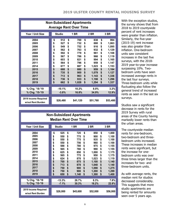|                                                                                                              | <b>Non-Subsidized Apartments</b><br><b>Average Rent Over Time</b>                |                                                                                                |                                                                                  |                                                                                                  |                                                                                  |                                                                                                          |                                                                                  |                                                                                                                          |  |  |  |  |  |  |  |
|--------------------------------------------------------------------------------------------------------------|----------------------------------------------------------------------------------|------------------------------------------------------------------------------------------------|----------------------------------------------------------------------------------|--------------------------------------------------------------------------------------------------|----------------------------------------------------------------------------------|----------------------------------------------------------------------------------------------------------|----------------------------------------------------------------------------------|--------------------------------------------------------------------------------------------------------------------------|--|--|--|--|--|--|--|
| Year / Unit Size                                                                                             |                                                                                  | <b>Studio</b>                                                                                  |                                                                                  | <b>1 BR</b>                                                                                      |                                                                                  | <b>2 BR</b>                                                                                              |                                                                                  | 3 BR                                                                                                                     |  |  |  |  |  |  |  |
| 2004<br>2005<br>2006<br>2007<br>2008<br>2009<br>2010<br>2011<br>2014<br>2015<br>2016<br>2017<br>2018<br>2019 | \$<br>\$<br>\$<br>\$<br>\$<br>\$<br>\$<br>\$<br>\$<br>\$<br>\$<br>\$<br>\$<br>\$ | 512<br>527<br>549<br>562<br>592<br>567<br>603<br>564<br>677<br>688<br>735<br>713<br>736<br>662 | \$<br>\$<br>\$<br>\$<br>\$<br>\$<br>\$<br>\$<br>\$<br>\$<br>\$<br>\$<br>\$<br>\$ | 700<br>732<br>752<br>763<br>779<br>786<br>821<br>796<br>887<br>880<br>900<br>963<br>933<br>1,028 | \$<br>\$<br>\$<br>\$<br>\$<br>\$<br>\$<br>\$<br>\$<br>\$<br>\$<br>\$<br>\$<br>\$ | 838<br>880<br>916<br>932<br>961<br>966<br>994<br>959<br>1,023<br>959<br>1,079<br>1,143<br>1,198<br>1,294 | \$<br>\$<br>\$<br>\$<br>\$<br>\$<br>\$<br>\$<br>\$<br>\$<br>\$<br>\$<br>\$<br>\$ | 994<br>1,063<br>1,095<br>1,129<br>1,108<br>1,119<br>1,165<br>1,147<br>1,153<br>1,184<br>1,127<br>1,336<br>1,296<br>1,337 |  |  |  |  |  |  |  |
| % Chg. '18-'19<br>% Chg. '15-'19                                                                             |                                                                                  | $-10.1%$<br>$-3.8%$                                                                            |                                                                                  | 10.2%<br>16.8%                                                                                   |                                                                                  | 8.0%<br>34.9%                                                                                            |                                                                                  | 3.2%<br>12.9%                                                                                                            |  |  |  |  |  |  |  |
| 2019 Income Required<br>w/out Rent Burden                                                                    |                                                                                  | \$26,480                                                                                       |                                                                                  | \$41,120                                                                                         |                                                                                  | \$51,760                                                                                                 |                                                                                  | \$53,480                                                                                                                 |  |  |  |  |  |  |  |

|                                                                                                                                                  | <b>Non-Subsidized Apartments</b><br><b>Median Rent Over Time</b>                 |                                                                                                                                                                                                           |                                                                                                                    |                                                                                  |                                                                                                                               |                                                                                  |                                                                                                                                             |  |  |  |  |  |  |  |  |
|--------------------------------------------------------------------------------------------------------------------------------------------------|----------------------------------------------------------------------------------|-----------------------------------------------------------------------------------------------------------------------------------------------------------------------------------------------------------|--------------------------------------------------------------------------------------------------------------------|----------------------------------------------------------------------------------|-------------------------------------------------------------------------------------------------------------------------------|----------------------------------------------------------------------------------|---------------------------------------------------------------------------------------------------------------------------------------------|--|--|--|--|--|--|--|--|
| Year / Unit Size                                                                                                                                 | <b>Studio</b>                                                                    |                                                                                                                                                                                                           | 1 BR                                                                                                               |                                                                                  | 2 BR                                                                                                                          |                                                                                  | 3 BR                                                                                                                                        |  |  |  |  |  |  |  |  |
| 2004<br>2005<br>2006<br>2007<br>2008<br>2009<br>2010<br>2011<br>2014<br>2015<br>2016<br>2017<br>2018<br>2019<br>% Chg. '18-'19<br>% Chg. '15-'19 | \$<br>\$<br>\$<br>\$<br>\$<br>\$<br>\$<br>\$<br>\$<br>\$<br>\$<br>\$<br>\$<br>\$ | \$<br>525<br>\$<br>550<br>\$<br>550<br>\$<br>550<br>\$<br>588<br>\$<br>565<br>\$<br>625<br>\$<br>565<br>\$<br>624<br>\$<br>700<br>\$<br>713<br>\$<br>750<br>\$<br>750<br>\$<br>650<br>$-13.3%$<br>$-7.1%$ | 725<br>775<br>775<br>756<br>780<br>780<br>850<br>775<br>878<br>875<br>878<br>900<br>900<br>1,140<br>26.7%<br>30.3% | \$<br>\$<br>\$<br>\$<br>\$<br>\$<br>\$<br>\$<br>\$<br>\$<br>\$<br>\$<br>\$<br>\$ | 850<br>900<br>935<br>960<br>975<br>990<br>1,000<br>950<br>1,023<br>1,100<br>1,048<br>1,098<br>1,200<br>1,300<br>8.3%<br>18.2% | \$<br>\$<br>\$<br>\$<br>\$<br>\$<br>\$<br>\$<br>\$<br>\$<br>\$<br>\$<br>\$<br>\$ | 1,000<br>1,100<br>1,100<br>1,100<br>1,155<br>1,155<br>1,175<br>1,175<br>1,119<br>1,140<br>1,140<br>1,275<br>1,299<br>1,400<br>7.8%<br>22.8% |  |  |  |  |  |  |  |  |
| 2019 Income Required<br>w/out Rent Burden                                                                                                        | \$26,000                                                                         |                                                                                                                                                                                                           | \$45,600                                                                                                           |                                                                                  | \$52,000                                                                                                                      |                                                                                  | \$56,000                                                                                                                                    |  |  |  |  |  |  |  |  |

With the exception studios, the survey shows that from 2018 to 2019 countywide percent of rent increases were greater than inflation. Similarly, the five-year (2015-19) rent increase was also greater than inflation. One-bedroom units saw consistent increases in the last five surveys, with the 2018- 2019 year-to-year increase surpassing 10%. Twobedroom units have seen increased average rents in the last four surveys. Three-bedroom units while fluctuating also follow the general trend of increased rents as seen in the last six surveys.

Studios saw a significant decrease in rents for the 2019 Survey with rural areas of the County having markedly lower rents than the urban areas.

The countywide median rents for one-bedroom, two-bedroom and threebedroom units increased. These increases in median rents were significant, but the increase for onebedroom units was over three times larger than the increases for two- and three-bedroom units.

As with average rents, the median rent for studios decreased considerably. This suggests that more studio apartments are being rented for amounts seen over 5 years ago.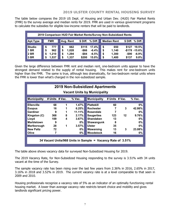The table below compares the 2019 US Dept. of Housing and Urban Dev. (HUD) Fair Market Rents (FMR) to the survey average and median rents for 2019. FMR are used in various government programs to calculate the subsidies for eligible low-income renters that will be paid to landlords.

|                 | 2019 Comparison HUD Fair Market Rents/Survey Non-Subsidized Rents |            |    |           |          |           |    |                    |          |                  |  |  |  |  |  |
|-----------------|-------------------------------------------------------------------|------------|----|-----------|----------|-----------|----|--------------------|----------|------------------|--|--|--|--|--|
| <b>Apt.Type</b> |                                                                   | <b>FMR</b> |    | Avg. Rent | \$ Diff. | $%$ Diff. |    | <b>Median Rent</b> |          | \$ Diff. % Diff. |  |  |  |  |  |
| <b>Studio</b>   | S                                                                 | 777        | \$ | 662       | \$115    | 17.4%     | \$ | 650                | \$127    | 19.5%            |  |  |  |  |  |
| <b>1 BR</b>     | S                                                                 | 962        | \$ | 1,028     | -\$66    | $-6.4%$   | \$ | 1,140              |          | $-$178 - 15.6%$  |  |  |  |  |  |
| 2 BR            | S                                                                 | 1,210      | \$ | 1,294     | $-$ \$84 | $-6.5%$   | \$ | 1,300              | $-$ \$90 | $-6.9%$          |  |  |  |  |  |
| 3 BR            | S                                                                 | 1,537      | \$ | 1,337     | \$200    | 15.0%     | \$ | 1,400              | \$137    | 9.8%             |  |  |  |  |  |

Given the large difference between FMR rent and median rent, one-bedroom units appear to have the strongest demand related to the supply of rental housing. This makes rent for one-bedroom units higher than the FMR. The same is true, although less dramatically, for two-bedroom rental units where the FMR is lower than what's charged in the non-subsidized sample.

|                                                                                                                                          | <b>2019 Non-Subsidized Apartments</b><br><b>Vacant Units by Municipality</b> |                            |                                                                                   |                                                                                                                                                             |                                             |                   |                                                                                 |  |  |  |  |  |  |  |  |
|------------------------------------------------------------------------------------------------------------------------------------------|------------------------------------------------------------------------------|----------------------------|-----------------------------------------------------------------------------------|-------------------------------------------------------------------------------------------------------------------------------------------------------------|---------------------------------------------|-------------------|---------------------------------------------------------------------------------|--|--|--|--|--|--|--|--|
| <b>Municipality</b>                                                                                                                      | # Units $#$ Vac.                                                             |                            | $%$ Vac.                                                                          | <b>Municipality</b>                                                                                                                                         | # Units $#$ Vac.                            |                   | $%$ Vac.                                                                        |  |  |  |  |  |  |  |  |
| <b>Ellenville</b><br><b>Esopus</b><br>Gardiner<br>Kingston (C)<br>Lloyd<br><b>Marbletown</b><br>Marlborough<br><b>New Paltz</b><br>Olive | 68<br>16<br>9<br>368<br>109<br>9<br>28<br>72<br>7                            | 1<br>1<br>1<br>8<br>4<br>1 | $1.47\%$<br>6.25%<br>$11.11\%$<br>2.17%<br>3.67%<br>0%<br>3.57%<br>$0\%$<br>$0\%$ | <b>Plattekill</b><br><b>Rochester</b><br>Rosendale<br><b>Saugerties</b><br><b>Shandaken</b><br>Shawangunk<br><b>Ulster</b><br>Wawarsing<br><b>Woodstock</b> | 60<br>7<br>123<br>13<br>8<br>35<br>13<br>16 | 3<br>$12 \,$<br>3 | $0\%$<br>42.86%<br>$0\%$<br>9.76%<br>$0\%$<br>$0\%$<br>$0\%$<br>23.08%<br>$0\%$ |  |  |  |  |  |  |  |  |
|                                                                                                                                          |                                                                              |                            |                                                                                   | 34 Vacant Units/968 Units in Sample = Vacancy Rate of 3.51%                                                                                                 |                                             |                   |                                                                                 |  |  |  |  |  |  |  |  |

The table above shows vacancy data for surveyed Non-Subsidized Housing for 2019.

The 2019 Vacancy Rate, for Non-Subsidized Housing responding to the survey is 3.51% with 34 units vacant at the time of the Survey.

The sample vacancy rate has been rising over the last few years from 2.36% in 2016, 2.65% in 2017, 3.16% in 2018 and 3.52% in 2019. The current vacancy rate is at a level comparable to that seen in 2009 and 2010.

Housing professionals recognize a vacancy rate of 5% as an indicator of an optimally functioning rental housing market. A lower than average vacancy rate restricts tenant choice and mobility and gives landlords significant pricing power.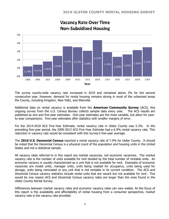

## **Vacancy Rate Over Time Non-Subsidized Housing**

The survey county-wide vacancy rate increased in 2019 and remained above 3% for the second consecutive year. However, demand for rental housing remains strong in most of the urbanized areas the County, including Kingston, New Paltz, and Ellenville.

Additional data on rental vacancy is available from the **American Community Survey** (ACS), this ongoing survey from the U.S. Census Bureau collects sample data every year. The ACS results are published as one and five-year estimates. One-year estimates are the most variable, but allow for yearto-year comparisons. Five-year estimates offer statistics with smaller margins of error.

For the 2014-2018 ACS Five-Year Estimate, rental vacancy rate in Ulster County was 5.3%. In the preceding five-year period, the 2009-2013 ACS Five-Year Estimate had a 6.9% rental vacancy rate. This reduction in vacancy rate would be consistent with this Survey's five-year average.

The **2010 U.S. Decennial Census** reported a rental vacancy rate of 7.9% for Ulster County. It should be noted that the Decennial Census is a physical count of the population and housing units in the United States and not a statistical sample.

All vacancy rates referred to in this report are market vacancies, not economic vacancies. The market vacancy rate is the number of units available for rent divided by the total number of rentable units. An economic vacancy is usually characterized as a unit that is not available for rent. Examples of economic vacancies are model units, manager units, units being readied for occupancy, units being used for storage, units being renovated or any unit that is not rentable in its current condition. The ACS and Decennial Census vacancy statistics include rental units that are vacant but not available for rent. This would be one reason ACS and Decennial Census vacancy rates are larger than the ones found in the Ulster County Rental Survey.

Differences between market vacancy rates and economic vacancy rates can vary widely. As the focus of this report is the availability and affordability of rental housing from a consumer perspective, market vacancy rate is the vacancy rate provided.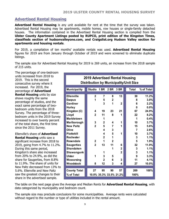### **Advertised Rental Housing**

**Advertised Rental Housing** is any unit available for rent at the time that the survey was taken. Advertised Rental Housing may be apartments, mobile homes, row houses or single-family detached houses. The information contained in the Advertised Rental Housing section is compiled from the **Ulster County Apartment Listings posted by RUPCO, print edition of the Kingston Times, classifieds section of hudsonvalleyone.com, and Craigslist.org Hudson Valley section for apartments and housing rentals**.

For 2019, a compilation of ten months' available rentals was used. **Advertised Rental Housing**  figures for 2019 are from January through October of 2019 and were screened to eliminate duplicate listings.

The sample size for Advertised Rental Housing for 2019 is 269 units, an increase from the 2018 sample of 215 units.

The percentage of one-bedroom units increased from 2018 to 2019. This is the second consecutive survey where it increased. For 2019, the percentage of **Advertised Rental Housing** units by size shows roughly the same percentage of studios, and the exact same percentage of twobedroom units from the 2018 Survey. The percentage of threebedroom units in the 2019 Survey increased to over twenty percent of the total share, the first time since the 2011 Survey.

Ellenville's share of **Advertised Rental Housing** units saw a significant increase from 2018 to 2019, going from 4.7% to 11.2%. During this same period, Kingston's share also increased from 20% to 24.9%, as did the share for Saugerties, from 8.8% to 11.9%. The share of units for New Paltz decreased from 13% to 5.6%. Ellenville and New Paltz saw the greatest changes to their share in the advertised sample.

### **2019 Advertised Rental Housing Distribution by Municipality/Unit Size**

| <b>Municipality</b> | <b>Studio</b>  | 1 BR           | 2 BR         | 3 BR                    | Total | % of Total |
|---------------------|----------------|----------------|--------------|-------------------------|-------|------------|
| <b>Ellenville</b>   | $\mathbf{2}$   | 7              | 8            | 13                      | 30    | 11.2%      |
| <b>Esopus</b>       | 1              | 5              | $\mathbf{2}$ |                         | 8     | 3.0%       |
| Gardiner            |                | 3              | 1            | $\mathbf{2}$            | 6     | 2.2%       |
| <b>Hurley</b>       |                |                |              |                         | 0     | 0.0%       |
| Kingston (C)        | 4              | 19             | 23           | 21                      | 67    | 24.9%      |
| Lloyd               | $\mathbf{2}$   | 11             | 8            | 1                       | 22    | 8.2%       |
| <b>Marbletown</b>   |                | 1              |              |                         | 1     | 0.4%       |
| Marlborough         | 3              | $\overline{2}$ | 4            | 1                       | 10    | 3.7%       |
| <b>New Paltz</b>    | $\overline{2}$ | 5              | 7            | 1                       | 15    | 5.6%       |
| Olive               |                | 4              | 3            |                         | 7     | 2.6%       |
| <b>Plattekill</b>   |                | 4              | 5            | 1                       | 10    | 3.7%       |
| <b>Rochester</b>    |                | $\mathbf{2}$   | 1            |                         | 3     | 1.1%       |
| <b>Rosendale</b>    | $\mathbf{2}$   | 1              | $\mathbf{2}$ |                         | 5     | 1.9%       |
| <b>Saugerties</b>   | $\overline{2}$ | 13             | 11           | 6                       | 32    | 11.9%      |
| <b>Shandaken</b>    |                |                | 1            | $\mathbf 2$             | 3     | 1.1%       |
| <b>Shawangunk</b>   |                | 1              |              | $\mathbf{2}$            | 3     | 1.1%       |
| <b>Ulster</b>       | 1              | 3              | 5            |                         | 9     | 3.3%       |
| Wawarsing           |                | $\mathbf{2}$   | 6            | 3                       | 11    | 4.1%       |
| Woodstock           | 8              | 12             | 3            | 4                       | 27    | 10.0%      |
|                     |                |                |              |                         |       |            |
| <b>County Total</b> | 27             | 95             | 90           | 57                      | 269   | 100%       |
| % of Total          |                |                |              | 10.0% 35.3% 33.5% 21.2% | 100%  |            |

The table on the next page gives the Average and Median Rents for **Advertised Rental Housing**, with data categorized by municipality and bedroom count.

The sample size may preclude conclusions for some municipalities. Average rents were calculated without regard to the number or type of utilities included in the rental amount.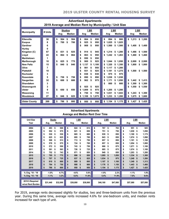|                                                                                                                                                                                                                                            | <b>Advertised Apartments</b><br>2019 Average and Median Rent by Municipality / Unit Size   |                                                                                                      |                                                                                                      |                                                                                                                                                                                                                                                                                                                                                                              |                                                                                                                                                                                                                                                                                                                                                                                |                                                                                                                                                                                                                                                                                                      |  |  |  |  |  |  |  |  |  |
|--------------------------------------------------------------------------------------------------------------------------------------------------------------------------------------------------------------------------------------------|--------------------------------------------------------------------------------------------|------------------------------------------------------------------------------------------------------|------------------------------------------------------------------------------------------------------|------------------------------------------------------------------------------------------------------------------------------------------------------------------------------------------------------------------------------------------------------------------------------------------------------------------------------------------------------------------------------|--------------------------------------------------------------------------------------------------------------------------------------------------------------------------------------------------------------------------------------------------------------------------------------------------------------------------------------------------------------------------------|------------------------------------------------------------------------------------------------------------------------------------------------------------------------------------------------------------------------------------------------------------------------------------------------------|--|--|--|--|--|--|--|--|--|
| <b>Municipality</b>                                                                                                                                                                                                                        | # Units                                                                                    | Avg                                                                                                  | <b>Studios</b><br><b>Median</b>                                                                      | <b>1 BR</b><br><b>Median</b><br>Avg                                                                                                                                                                                                                                                                                                                                          | 2 BR<br><b>Median</b><br>Avg                                                                                                                                                                                                                                                                                                                                                   | 3 BR<br>Median<br>Avg                                                                                                                                                                                                                                                                                |  |  |  |  |  |  |  |  |  |
| Ellenville<br><b>Esopus</b><br>Gardiner<br>Hurley<br>Kingston (C)<br>Lloyd<br><b>Marbletown</b><br>Marlborough<br><b>New Paltz</b><br>Olive<br><b>Plattekill</b><br>Rochester<br>Rosendale<br><b>Saugerties</b><br>Shandaken<br>Shawangunk | 30<br>8<br>6<br>$\bf{0}$<br>67<br>22<br>1<br>10<br>15<br>7<br>10<br>3<br>5<br>32<br>3<br>3 | \$<br>504<br>\$<br>700<br>831<br>\$<br>\$<br>864<br>\$<br>825<br>\$<br>840<br>\$<br>758<br>688<br>\$ | \$<br>504<br>700<br>\$<br>\$<br>825<br>\$<br>864<br>775<br>\$<br>\$<br>840<br>\$<br>758<br>\$<br>688 | \$<br>864<br>\$<br>850<br>925<br>950<br>\$<br>\$<br>\$<br>908<br>950<br>\$<br>\$<br>945<br>914<br>\$<br>863<br>\$<br>\$<br>950<br>950<br>\$<br>950<br>\$<br>\$<br>925<br>900<br>\$<br>1,137<br>\$<br>\$<br>1.100<br>\$<br>981<br>950<br>S<br>925<br>\$<br>931<br>\$<br>\$<br>838<br>838<br>\$<br>\$<br>890<br>890<br>\$<br>962<br>975<br>\$<br>\$<br>\$<br>925<br>925<br>\$. | \$<br>894<br>\$<br>900<br>1,025<br>\$<br>\$<br>1,025<br>\$<br>\$<br>1.500<br>1.500<br>\$1.214<br>1.200<br>\$<br>\$<br>1,242<br>\$<br>1,263<br>\$<br>1.044<br>\$<br>1.050<br>1.320<br>\$<br>1.350<br>S<br>\$<br>1.117<br>\$<br>1,200<br>1,275<br>S<br>1,181<br>S<br>975<br>\$<br>975<br>\$<br>1,038<br>1.038<br>\$<br>\$<br>1.050<br>\$<br>1.171<br>\$<br>\$<br>800<br>800<br>S | \$<br>1,213<br>\$1,200<br>1.400<br>\$<br>\$<br>1,400<br>\$<br>1.486<br>1.500<br>\$<br>1,460<br>\$<br>\$<br>1,460<br>\$<br>2.000<br>2.000<br>\$<br>\$<br>1,800<br>\$<br>1,800<br>1,500<br>\$<br>\$<br>1,500<br>1.442<br>\$<br>\$<br>1.413<br>1,300<br>1,300<br>\$<br>S.<br>\$<br>1,550<br>\$<br>1,550 |  |  |  |  |  |  |  |  |  |
| <b>Ulster</b><br>Wawarsing<br>Woodstock<br><b>Ulster County</b>                                                                                                                                                                            | 9<br>11<br>27<br>269                                                                       | \$<br>650<br>\$<br>846<br>\$<br>786                                                                  | \$<br>650<br>825<br>\$<br>800<br>\$                                                                  | \$<br>975<br>.009<br>1<br>S<br>750<br>750<br>S<br>\$<br>\$<br>1,108<br>\$<br>1,075<br>\$<br>950<br>950<br>\$                                                                                                                                                                                                                                                                 | 1.205<br>\$<br>1.200<br>\$<br>\$<br>1,031<br>S<br>1,043<br>\$<br>1,233<br>\$<br>1,200<br>\$<br>1,154<br>\$<br>1,175                                                                                                                                                                                                                                                            | \$<br>1.243<br>1.300<br>\$<br>\$<br>1,675<br>\$<br>1,600<br>\$<br>1,427<br>\$<br>1,425                                                                                                                                                                                                               |  |  |  |  |  |  |  |  |  |

|                                       | <b>Advertised Apartments</b><br><b>Average and Median Rent Over Time</b> |          |    |               |    |          |    |               |    |          |    |               |      |          |    |          |
|---------------------------------------|--------------------------------------------------------------------------|----------|----|---------------|----|----------|----|---------------|----|----------|----|---------------|------|----------|----|----------|
| <b>Unit Size</b>                      | <b>Studio</b><br><b>1 BR</b><br>2 BR<br>3 BR                             |          |    |               |    |          |    |               |    |          |    |               |      |          |    |          |
| Year                                  |                                                                          | Avg.     |    | <b>Median</b> |    | Avg.     |    | <b>Median</b> |    | Avg.     |    | <b>Median</b> | Avg. |          |    | Median   |
| 2004                                  | \$                                                                       | 493      | \$ | 500           | \$ | 624      | \$ | 613           | \$ | 767      | \$ | 763           | \$   | 951      | \$ | 925      |
| 2005                                  | \$                                                                       | 552      | \$ | 575           | \$ | 621      | \$ | 650           | \$ | 751      | \$ | 750           | \$   | 1.030    | \$ | 1,050    |
| 2006                                  | \$                                                                       | 530      | \$ | 530           | \$ | 665      | \$ | 680           | \$ | 939      | \$ | 850           | \$   | 1.100    | \$ | 1,175    |
| 2007                                  | \$                                                                       | 625      | \$ | 625           | \$ | 695      | \$ | 700           | \$ | 843      | \$ | 850           | \$   | 1,074    | \$ | 1,090    |
| 2008                                  | \$                                                                       | 508      | \$ | 513           | \$ | 713      | \$ | 750           | \$ | 857      | \$ | 850           | \$   | 1,101    | \$ | 1,100    |
| 2009                                  | \$                                                                       | 578      | \$ | 575           | \$ | 724      | \$ | 700           | \$ | 857      | \$ | 850           | \$   | 1.054    | \$ | 1,000    |
| 2010                                  |                                                                          | 572      | \$ | 550           | \$ | 743      | \$ | 750           | \$ | 886      | \$ | 875           | \$   | 1.071    | \$ | 1,100    |
| 2011                                  | \$                                                                       | 591      | \$ | 563           | \$ | 726      | \$ | 725           | \$ | 885      |    | 875           | \$   | 1.074    |    |          |
|                                       | \$                                                                       |          |    |               |    |          |    |               |    |          | \$ |               |      |          | \$ | 1,100    |
| 2014                                  | \$                                                                       | 752      | \$ | 743           | \$ | 871      | \$ | 850           | \$ | 949      | \$ | 850           | \$   | 1.203    | \$ | 1,200    |
| 2015                                  | \$                                                                       | 795      | \$ | 775           | \$ | 896      | \$ | 850           | \$ | 1,095    | \$ | 1.050         | \$   | 1,334    | \$ | 1,300    |
| 2016                                  | \$                                                                       | 707      | \$ | 725           | \$ | 837      | \$ | 825           | \$ | 1,034    | \$ | 975           | \$   | 1,240    | \$ | 1,200    |
| 2017                                  | \$                                                                       | 810      | \$ | 800           | \$ | 889      | \$ | 895           | \$ | 1,107    | \$ | 1.100         | \$   | 1.349    | \$ | 1,313    |
| 2018                                  | \$                                                                       | 794      | \$ | 750           | \$ | 908      | \$ | 900           | \$ | 1,176    | \$ | 1,150         | \$   | 1,443    | \$ | 1,400    |
| 2019                                  | \$                                                                       | 786      | \$ | 800           | \$ | 950      | \$ | 950           | \$ | 1,154    | \$ | 1,175         | \$   | 1,427    | \$ | 1,425    |
| % Chg. '18 - '19                      |                                                                          | $-1.0%$  |    | 6.7%          |    | 4.6%     |    | 5.6%          |    | $-1.9%$  |    | 2.2%          |      | $-1.1%$  |    | 1.8%     |
| % Chg. '15 - '19                      |                                                                          | $-1.1%$  |    | 3.2%          |    | 6.0%     |    | 11.8%         |    | 5.4%     |    | 11.9%         |      | 7.0%     |    | 9.6%     |
|                                       |                                                                          |          |    |               |    |          |    |               |    |          |    |               |      |          |    |          |
| 2019 \$ Required<br>w/out Rent Burden |                                                                          | \$31,440 |    | \$32,000      |    | \$38,000 |    | \$38,000      |    | \$46,160 |    | \$47,000      |      | \$57,080 |    | \$57,000 |

For 2019, average rents decreased slightly for studios, two and three-bedroom units from the previous year. During this same time, average rents increased 4.6% for one-bedroom units, and median rents increased for each type of unit.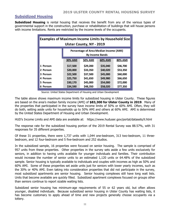### **Subsidized Housing**

**Subsidized Housing** is rental housing that receives the benefit from any of the various types of governmental support in the construction, purchase or rehabilitation of buildings that will house persons with income limitations. Rents are restricted by the income levels of the occupants.

| <b>Examples of Maximum Income Limits by Household Size</b><br><b>Ulster County, NY - 2019</b> |                |          |          |          |  |  |  |  |  |
|-----------------------------------------------------------------------------------------------|----------------|----------|----------|----------|--|--|--|--|--|
| Percentage of Area Median Income (AMI)<br><b>By Income Bands</b>                              |                |          |          |          |  |  |  |  |  |
|                                                                                               | <b>30% AMI</b> | 50% AMI  | 60% AMI  | 80% AMI  |  |  |  |  |  |
| 1 Person                                                                                      | \$17,500       | \$29,200 | \$35,040 | \$46,700 |  |  |  |  |  |
| 2 Person                                                                                      | \$20,000       | \$33,350 | \$40,020 | \$53,350 |  |  |  |  |  |
| 3 Person                                                                                      | \$22,500       | \$37,500 | \$45,000 | \$60,000 |  |  |  |  |  |
| 4 Person                                                                                      | \$25,750       | \$41,650 | \$49,980 | \$66,650 |  |  |  |  |  |
| 5 Person                                                                                      | \$30,170       | \$45,000 | \$54,000 | \$72,000 |  |  |  |  |  |
| 6 Person                                                                                      | \$34,590       | \$48,350 | \$58,020 | \$77,350 |  |  |  |  |  |

Source: United States Department of Housing and Urban Development

The table above shows maximum income limits for subsidized housing in Ulster County. These figures are based on the area's median family income (AMI) of **\$83,300 for Ulster County in 2019**. Many of the properties that participated in the survey have income limits of 50% or 60% AMI. Often, they will do both, setting aside units for households up to 50% AMI and others at 60% AMI. AMI is determined by the United States Department of Housing and Urban Development.

HUD's Income Limits and AMI data are available at: https://www.huduser.gov/portal/datasets/il.html

The response rate for the subsidized housing portion of the 2019 Rental Survey was 88.57%, with 31 responses for 35 different properties.

Of these 31 properties, there were 1,737 units with 1,044 one-bedroom, 313 two-bedroom, 11 threebedroom, and 12 four-bedroom and 5 five-bedroom and 252 studios.

In the subsidized sample, 16 properties were focused on senior housing. The sample is comprised of 957 units from these properties. Other properties in the survey sets aside a few units exclusively for seniors, in addition to having units available for younger individuals and families. Their contribution would increase the number of senior units to an estimated 1,120 units or 64.48% of the subsidized sample. Senior housing is typically available to individuals and couples with incomes as high as 50% and 60% AMI. Some of these properties set aside units just for seniors with lower yearly incomes, such as the 30% or 40% AMI. Even taking into consideration properties that did not participate in the survey, most subsidized apartments are senior housing. Senior housing complexes still have long wait lists. Units that become available are quickly filled. Subsidized apartment complexes focused on groups other than seniors continue to report sizable waiting lists.

Subsidized senior housing has minimum-age requirements of 55 or 62 years old, but often allows younger, disabled individuals. Because subsidized senior housing in Ulster County has waiting lists, it has become customary to apply ahead of time and new projects generally choose occupants via a lottery.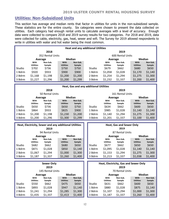### **Utilities: Non-Subsidized Units**

This section has average and median rents that factor in utilities for units in the non-subsidized sample. These statistics are for the entire county. Six categories were chosen to present the data collected on utilities. Each category had enough rental units to calculate averages with a level of accuracy. Enough data were collected to compare 2018 and 2019 survey results for two categories. For 2018 and 2019, data were collected for cable, electricity, gas, heat, sewer and wifi. The Survey for 2019 allowed respondents to write in utilities with water and hot water being the most common.

| <b>Heat and any additional Utilities</b> |                  |                  |                  |          |        |                  |                  |                  |               |  |
|------------------------------------------|------------------|------------------|------------------|----------|--------|------------------|------------------|------------------|---------------|--|
|                                          |                  | 2018             |                  |          |        |                  | 2019             |                  |               |  |
|                                          |                  | 352 Rental Units |                  |          |        |                  | 600 Rental Units |                  |               |  |
|                                          | Average          |                  | <b>Median</b>    |          |        | Average          |                  |                  | <b>Median</b> |  |
|                                          | With             | Non-Sub.         | <b>With</b>      | Non-Sub. |        | With             | Non-Sub.         | With             | Non-Sub.      |  |
|                                          | <b>Utilities</b> | Sample           | <b>Utilities</b> | Sample   |        | <b>Utilities</b> | Sample           | <b>Utilities</b> | Sample        |  |
| Studio                                   | \$702            | \$736            | \$750            | \$750    | Studio | \$679            | \$662            | \$680            | \$650         |  |
| 1 Bdrm                                   | \$920            | \$933            | \$900            | \$900    | 1 Bdrm | \$1,058          | \$1,028          | \$1,170          | \$1,140       |  |
| 2 Bdrm                                   | \$1,168          | \$1,198          | \$1,200          | \$1,200  | 2 Bdrm | \$1,254          | \$1,294          | \$1,275          | \$1,300       |  |
| 3 Bdrm                                   | \$1,227          | \$1,296          | \$1,200          | \$1,299  | 3 Bdrm | \$1,232          | \$1,337          | \$1,200          | \$1,400       |  |
|                                          |                  |                  |                  |          |        |                  |                  |                  |               |  |

| Heat, Gas and any additional Utilities |                          |                    |                          |                    |               |                          |                    |                          |                    |
|----------------------------------------|--------------------------|--------------------|--------------------------|--------------------|---------------|--------------------------|--------------------|--------------------------|--------------------|
|                                        |                          | 2018               |                          |                    |               |                          | 2019               |                          |                    |
|                                        |                          | 50 Rental Units    |                          |                    |               |                          | 161 Rental Units   |                          |                    |
|                                        | Average                  |                    | Median                   |                    |               | Average                  |                    | <b>Median</b>            |                    |
|                                        | With<br><b>Utilities</b> | Non-Sub.<br>Sample | With<br><b>Utilities</b> | Non-Sub.<br>Sample |               | With<br><b>Utilities</b> | Non-Sub.<br>Sample | With<br><b>Utilities</b> | Non-Sub.<br>Sample |
| Studio                                 | \$650                    | \$736              | \$650                    | \$750              | <b>Studio</b> | \$634                    | \$662              | \$600                    | \$650              |
| 1 Bdrm                                 | \$864                    | \$933              | \$825                    | \$900              | 1 Bdrm        | \$985                    | \$1,028            | \$1,140                  | \$1,140            |
| 2 Bdrm                                 | \$1,200                  | \$1,198            | \$1,230                  | \$1,200            | 2 Bdrm        | \$1,140                  | \$1,294            | \$1,275                  | \$1,300            |
| 3 Bdrm                                 | \$1,200                  | \$1,296            | \$1,300                  | \$1,299            | 3 Bdrm        | \$1,201                  | \$1,337            | \$1,100                  | \$1,400            |
|                                        |                          |                    |                          |                    |               |                          |                    |                          |                    |

| Heat, Electricity, Sewer and any additional Utilities<br>2019 |                                   |                               |                                   |                               |                            |                                          | <b>Heat, Gas and Sewer Only</b><br>2019 |                                   |                               |
|---------------------------------------------------------------|-----------------------------------|-------------------------------|-----------------------------------|-------------------------------|----------------------------|------------------------------------------|-----------------------------------------|-----------------------------------|-------------------------------|
| 94 Rental Units                                               |                                   |                               |                                   |                               |                            |                                          | 87 Rental Units                         |                                   |                               |
| Average                                                       |                                   |                               | <b>Median</b>                     |                               |                            | Average                                  |                                         |                                   | <b>Median</b>                 |
| Studio                                                        | With<br><b>Utilities</b><br>\$682 | Non-Sub.<br>Sample<br>\$662   | With<br><b>Utilities</b><br>\$680 | Non-Sub.<br>Sample<br>\$650   | Studio                     | <b>With</b><br><b>Utilities</b><br>\$677 | Non-Sub.<br>Sample<br>\$662             | With<br><b>Utilities</b><br>\$650 | Non-Sub.<br>Sample<br>\$650   |
| 1 Bdrm<br>2 Bdrm<br>3 Bdrm                                    | \$871<br>\$1,067<br>\$1,187       | \$1,028<br>\$1,294<br>\$1,337 | \$850<br>\$1,000<br>\$1,260       | \$1,140<br>\$1,300<br>\$1,400 | 1 Bdrm<br>2 Bdrm<br>3 Bdrm | \$1,095<br>\$1,153<br>\$1,213            | \$1,028<br>\$1,294<br>\$1,337           | \$1,140<br>\$1,275<br>\$1,038     | \$1,140<br>\$1,300<br>\$1,400 |

|                          |                  | <b>Sewer Only</b><br>2019<br>145 Rental Units |                  |          |         |                  | Heat, Electricity, Gas and Sewer Only<br>2019<br><b>70 Rental Units</b> |                  |          |
|--------------------------|------------------|-----------------------------------------------|------------------|----------|---------|------------------|-------------------------------------------------------------------------|------------------|----------|
| <b>Median</b><br>Average |                  |                                               |                  |          | Average |                  |                                                                         | <b>Median</b>    |          |
|                          | With             | Non-Sub.                                      | With             | Non-Sub. |         | With             | Non-Sub.                                                                | <b>With</b>      | Non-Sub. |
|                          | <b>Utilities</b> | Sample                                        | <b>Utilities</b> | Sample   |         | <b>Utilities</b> | Sample                                                                  | <b>Utilities</b> | Sample   |
| Studio                   | \$550            | \$662                                         | \$475            | \$650    | Studio  | \$631            | \$662                                                                   | \$600            | \$650    |
| 1 Bdrm                   | \$893            | \$1,028                                       | \$947            | \$1,140  | 1 Bdrm  | \$880            | \$1,028                                                                 | \$875            | \$1,140  |
| 2 Bdrm                   | \$1,241          | \$1,294                                       | \$1,285          | \$1,300  | 2 Bdrm  | \$1,107          | \$1,294                                                                 | \$1,000          | \$1,300  |
| 3 Bdrm                   | \$1,435          | \$1,337                                       | \$1,413          | \$1,400  | 3 Bdrm  | \$1,187          | \$1,337                                                                 | \$1,260          | \$1,400  |

| ilities                      | <b>Heat, Gas and Sewer Only</b><br>2019 |                                   |                               |                                   |                               |  |  |  |  |  |  |
|------------------------------|-----------------------------------------|-----------------------------------|-------------------------------|-----------------------------------|-------------------------------|--|--|--|--|--|--|
|                              |                                         | 87 Rental Units                   |                               |                                   |                               |  |  |  |  |  |  |
|                              |                                         |                                   | <b>Median</b><br>Average      |                                   |                               |  |  |  |  |  |  |
| lon-Sub.<br>Sample<br>\$650  | Studio                                  | With<br><b>Utilities</b><br>\$677 | Non-Sub.<br>Sample<br>\$662   | With<br><b>Utilities</b><br>\$650 | Non-Sub.<br>Sample<br>\$650   |  |  |  |  |  |  |
| 51,140<br>\$1,300<br>\$1,400 | 1 Bdrm<br>2 Bdrm<br>3 Bdrm              | \$1,095<br>\$1,153<br>\$1,213     | \$1,028<br>\$1,294<br>\$1,337 | \$1,140<br>\$1,275<br>\$1,038     | \$1,140<br>\$1,300<br>\$1,400 |  |  |  |  |  |  |

| <b>Sewer Only</b><br>2019 |                          |                    |                          |                    |        |                          | Heat, Electricity, Gas and Sewer Only<br>2019 |                          |                    |
|---------------------------|--------------------------|--------------------|--------------------------|--------------------|--------|--------------------------|-----------------------------------------------|--------------------------|--------------------|
|                           |                          | 145 Rental Units   |                          |                    |        |                          | 70 Rental Units                               |                          |                    |
|                           | <b>Median</b><br>Average |                    |                          |                    |        | Average                  |                                               | <b>Median</b>            |                    |
|                           | With<br><b>Utilities</b> | Non-Sub.<br>Sample | With<br><b>Utilities</b> | Non-Sub.<br>Sample |        | With<br><b>Utilities</b> | Non-Sub.<br>Sample                            | With<br><b>Utilities</b> | Non-Sub.<br>Sample |
| Studio                    | \$550                    | \$662              | \$475                    | \$650              | Studio | \$631                    | \$662                                         | \$600                    | \$650              |
| 1 Bdrm                    | \$893                    | \$1,028            | \$947                    | \$1,140            | 1 Bdrm | \$880                    | \$1,028                                       | \$875                    | \$1,140            |
| 2 Bdrm                    | \$1,241                  | \$1,294            | \$1,285                  | \$1,300            | 2 Bdrm | \$1,107                  | \$1,294                                       | \$1,000                  | \$1,300            |
| 3 Bdrm                    | \$1,435                  | \$1,337            | \$1,413                  | \$1,400            | 3 Bdrm | \$1,187                  | \$1,337                                       | \$1,260                  | \$1,400            |